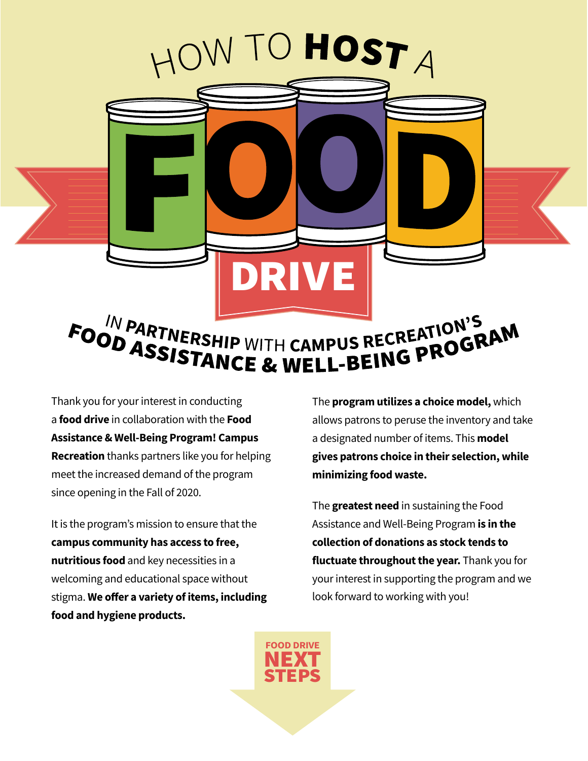

Thank you for your interest in conducting a **food drive** in collaboration with the **Food Assistance & Well-Being Program! Campus Recreation** thanks partners like you for helping meet the increased demand of the program since opening in the Fall of 2020.

It is the program's mission to ensure that the **campus community has access to free, nutritious food** and key necessities in a welcoming and educational space without stigma. **We offer a variety of items, including food and hygiene products.**

The **program utilizes a choice model,** which allows patrons to peruse the inventory and take a designated number of items. This **model gives patrons choice in their selection, while minimizing food waste.** 

The **greatest need** in sustaining the Food Assistance and Well-Being Program **is in the collection of donations as stock tends to fluctuate throughout the year.** Thank you for your interest in supporting the program and we look forward to working with you!